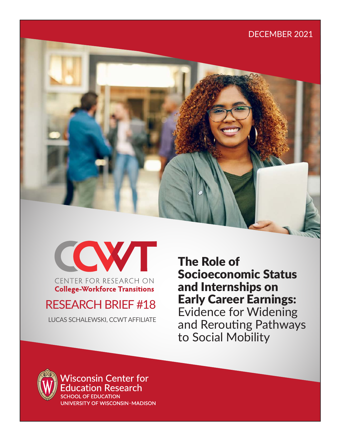



## **College-Workforce Transitions**

# RESEARCH BRIEF #18

LUCAS SCHALEWSKI, CCWT AFFILIATE

The Role of Socioeconomic Status and Internships on Early Career Earnings: Evidence for Widening and Rerouting Pathways to Social Mobility



**Wisconsin Center for** ducation Research **SCHOOL OF EDUCATION** 

UNIVERSITY OF WISCONSIN-MADISON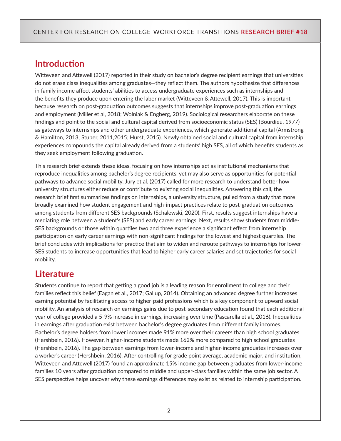## **Introduction**

Witteveen and Attewell (2017) reported in their study on bachelor's degree recipient earnings that universities do not erase class inequalities among graduates—they reflect them. The authors hypothesize that differences in family income affect students' abilities to access undergraduate experiences such as internships and the benefits they produce upon entering the labor market (Witteveen & Attewell, 2017). This is important because research on post-graduation outcomes suggests that internships improve post-graduation earnings and employment (Miller et al, 2018; Wolniak & Engberg, 2019). Sociological researchers elaborate on these findings and point to the social and cultural capital derived from socioeconomic status (SES) (Bourdieu, 1977) as gateways to internships and other undergraduate experiences, which generate additional capital (Armstrong & Hamilton, 2013; Stuber, 2011,2015; Hurst, 2015). Newly obtained social and cultural capital from internship experiences compounds the capital already derived from a students' high SES, all of which benefits students as they seek employment following graduation.

This research brief extends these ideas, focusing on how internships act as institutional mechanisms that reproduce inequalities among bachelor's degree recipients, yet may also serve as opportunities for potential pathways to advance social mobility. Jury et al. (2017) called for more research to understand better how university structures either reduce or contribute to existing social inequalities. Answering this call, the research brief first summarizes findings on internships, a university structure, pulled from a study that more broadly examined how student engagement and high-impact practices relate to post-graduation outcomes among students from different SES backgrounds (Schalewski, 2020). First, results suggest internships have a mediating role between a student's (SES) and early career earnings. Next, results show students from middle-SES backgrounds or those within quartiles two and three experience a significant effect from internship participation on early career earnings with non-significant findings for the lowest and highest quartiles. The brief concludes with implications for practice that aim to widen and reroute pathways to internships for lower-SES students to increase opportunities that lead to higher early career salaries and set trajectories for social mobility.

## **Literature**

Students continue to report that getting a good job is a leading reason for enrollment to college and their families reflect this belief (Eagan et al., 2017; Gallup, 2014). Obtaining an advanced degree further increases earning potential by facilitating access to higher-paid professions which is a key component to upward social mobility. An analysis of research on earnings gains due to post-secondary education found that each additional year of college provided a 5-9% increase in earnings, increasing over time (Pascarella et al., 2016). Inequalities in earnings after graduation exist between bachelor's degree graduates from different family incomes. Bachelor's degree holders from lower incomes made 91% more over their careers than high school graduates (Hershbein, 2016). However, higher-income students made 162% more compared to high school graduates (Hershbein, 2016). The gap between earnings from lower-income and higher-income graduates increases over a worker's career (Hershbein, 2016). After controlling for grade point average, academic major, and institution, Witteveen and Attewell (2017) found an approximate 15% income gap between graduates from lower-income families 10 years after graduation compared to middle and upper-class families within the same job sector. A SES perspective helps uncover why these earnings differences may exist as related to internship participation.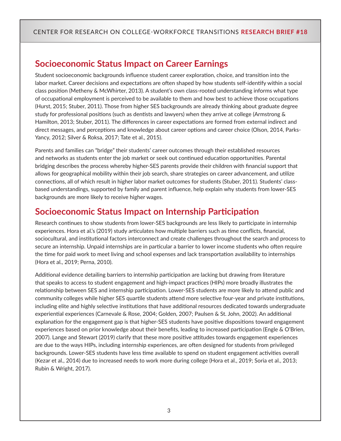## **Socioeconomic Status Impact on Career Earnings**

Student socioeconomic backgrounds influence student career exploration, choice, and transition into the labor market. Career decisions and expectations are often shaped by how students self-identify within a social class position (Metheny & McWhirter, 2013). A student's own class-rooted understanding informs what type of occupational employment is perceived to be available to them and how best to achieve those occupations (Hurst, 2015; Stuber, 2011). Those from higher SES backgrounds are already thinking about graduate degree study for professional positions (such as dentists and lawyers) when they arrive at college (Armstrong & Hamilton, 2013; Stuber, 2011). The differences in career expectations are formed from external indirect and direct messages, and perceptions and knowledge about career options and career choice (Olson, 2014, Parks-Yancy, 2012; Silver & Roksa, 2017; Tate et al., 2015).

Parents and families can "bridge" their students' career outcomes through their established resources and networks as students enter the job market or seek out continued education opportunities. Parental bridging describes the process whereby higher-SES parents provide their children with financial support that allows for geographical mobility within their job search, share strategies on career advancement, and utilize connections, all of which result in higher labor market outcomes for students (Stuber, 2011). Students' classbased understandings, supported by family and parent influence, help explain why students from lower-SES backgrounds are more likely to receive higher wages.

## **Socioeconomic Status Impact on Internship Participation**

Research continues to show students from lower-SES backgrounds are less likely to participate in internship experiences. Hora et al.'s (2019) study articulates how multiple barriers such as time conflicts, financial, sociocultural, and institutional factors interconnect and create challenges throughout the search and process to secure an internship. Unpaid internships are in particular a barrier to lower income students who often require the time for paid work to meet living and school expenses and lack transportation availability to internships (Hora et al., 2019; Perna, 2010).

Additional evidence detailing barriers to internship participation are lacking but drawing from literature that speaks to access to student engagement and high-impact practices (HIPs) more broadly illustrates the relationship between SES and internship participation. Lower-SES students are more likely to attend public and community colleges while higher SES quartile students attend more selective four-year and private institutions, including elite and highly selective institutions that have additional resources dedicated towards undergraduate experiential experiences (Carnevale & Rose, 2004; Golden, 2007; Paulsen & St. John, 2002). An additional explanation for the engagement gap is that higher-SES students have positive dispositions toward engagement experiences based on prior knowledge about their benefits, leading to increased participation (Engle & O'Brien, 2007). Lange and Stewart (2019) clarify that these more positive attitudes towards engagement experiences are due to the ways HIPs, including internship experiences, are often designed for students from privileged backgrounds. Lower-SES students have less time available to spend on student engagement activities overall (Kezar et al., 2014) due to increased needs to work more during college (Hora et al., 2019; Soria et al., 2013; Rubin & Wright, 2017).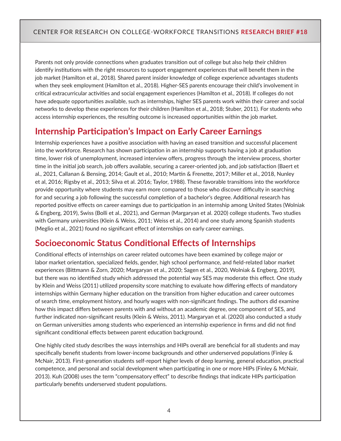Parents not only provide connections when graduates transition out of college but also help their children identify institutions with the right resources to support engagement experiences that will benefit them in the job market (Hamilton et al., 2018). Shared parent insider knowledge of college experience advantages students when they seek employment (Hamilton et al., 2018). Higher-SES parents encourage their child's involvement in critical extracurricular activities and social engagement experiences (Hamilton et al., 2018). If colleges do not have adequate opportunities available, such as internships, higher SES parents work within their career and social networks to develop these experiences for their children (Hamilton et al., 2018; Stuber, 2011). For students who access internship experiences, the resulting outcome is increased opportunities within the job market.

## **Internship Participation's Impact on Early Career Earnings**

Internship experiences have a positive association with having an eased transition and successful placement into the workforce. Research has shown participation in an internship supports having a job at graduation time, lower risk of unemployment, increased interview offers, progress through the interview process, shorter time in the initial job search, job offers available, securing a career-oriented job, and job satisfaction (Baert et al., 2021, Callanan & Bensing, 2014; Gault et al., 2010; Martin & Frenette, 2017; Miller et al., 2018, Nunley et al, 2016; Rigsby et al., 2013; Silva et al. 2016; Taylor, 1988). These favorable transitions into the workforce provide opportunity where students may earn more compared to those who discover difficulty in searching for and securing a job following the successful completion of a bachelor's degree. Additional research has reported positive effects on career earnings due to participation in an internship among United States (Wolniak & Engberg, 2019), Swiss (Bolli et al., 2021), and German (Margaryan et al. 2020) college students. Two studies with Germany universities (Klein & Weiss, 2011; Weiss et al., 2014) and one study among Spanish students (Meglio et al., 2021) found no significant effect of internships on early career earnings.

## **Socioeconomic Status Conditional Effects of Internships**

Conditional effects of internships on career related outcomes have been examined by college major or labor market orientation, specialized fields, gender, high school performance, and field-related labor market experiences (Bittmann & Zorn, 2020; Margaryan et al., 2020; Sagen et al., 2020, Wolniak & Engberg, 2019), but there was no identified study which addressed the potential way SES may moderate this effect. One study by Klein and Weiss (2011) utilized propensity score matching to evaluate how differing effects of mandatory internships within Germany higher education on the transition from higher education and career outcomes of search time, employment history, and hourly wages with non-significant findings. The authors did examine how this impact differs between parents with and without an academic degree, one component of SES, and further indicated non-significant results (Klein & Weiss, 2011). Margaryan et al. (2020) also conducted a study on German universities among students who experienced an internship experience in firms and did not find significant conditional effects between parent education background.

One highly cited study describes the ways internships and HIPs overall are beneficial for all students and may specifically benefit students from lower-income backgrounds and other underserved populations (Finley & McNair, 2013). First-generation students self-report higher levels of deep learning, general education, practical competence, and personal and social development when participating in one or more HIPs (Finley & McNair, 2013). Kuh (2008) uses the term "compensatory effect" to describe findings that indicate HIPs participation particularly benefits underserved student populations.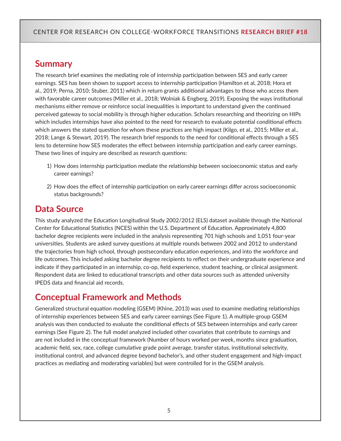### **Summary**

The research brief examines the mediating role of internship participation between SES and early career earnings. SES has been shown to support access to internship participation (Hamilton et al, 2018; Hora et al., 2019; Perna, 2010; Stuber, 2011) which in return grants additional advantages to those who access them with favorable career outcomes (Miller et al., 2018; Wolniak & Engberg, 2019). Exposing the ways institutional mechanisms either remove or reinforce social inequalities is important to understand given the continued perceived gateway to social mobility is through higher education. Scholars researching and theorizing on HIPs which includes internships have also pointed to the need for research to evaluate potential conditional effects which answers the stated question for whom these practices are high impact (Kilgo, et al., 2015; Miller et al., 2018; Lange & Stewart, 2019). The research brief responds to the need for conditional effects through a SES lens to determine how SES moderates the effect between internship participation and early career earnings. These two lines of inquiry are described as research questions:

- 1) How does internship participation mediate the relationship between socioeconomic status and early career earnings?
- 2) How does the effect of internship participation on early career earnings differ across socioeconomic status backgrounds?

### **Data Source**

This study analyzed the Education Longitudinal Study 2002/2012 (ELS) dataset available through the National Center for Educational Statistics (NCES) within the U.S. Department of Education. Approximately 4,800 bachelor degree recipients were included in the analysis representing 701 high schools and 1,051 four-year universities. Students are asked survey questions at multiple rounds between 2002 and 2012 to understand the trajectories from high school, through postsecondary education experiences, and into the workforce and life outcomes. This included asking bachelor degree recipients to reflect on their undergraduate experience and indicate if they participated in an internship, co-op, field experience, student teaching, or clinical assignment. Respondent data are linked to educational transcripts and other data sources such as attended university IPEDS data and financial aid records.

### **Conceptual Framework and Methods**

Generalized structural equation modeling (GSEM) (Khine, 2013) was used to examine mediating relationships of internship experiences between SES and early career earnings (See Figure 1). A multiple-group GSEM analysis was then conducted to evaluate the conditional effects of SES between internships and early career earnings (See Figure 2). The full model analyzed included other covariates that contribute to earnings and are not included in the conceptual framework (Number of hours worked per week, months since graduation, academic field, sex, race, college cumulative grade point average, transfer status, institutional selectivity, institutional control, and advanced degree beyond bachelor's, and other student engagement and high-impact practices as mediating and moderating variables) but were controlled for in the GSEM analysis.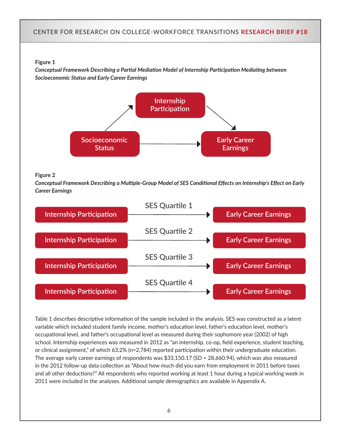#### **Figure 1**

*Conceptual Framework Describing a Partial Mediation Model of Internship Participation Mediating between Socioeconomic Status and Early Career Earnings*



#### **Figure 2**

*Conceptual Framework Describing a Multiple-Group Model of SES Conditional Effects on Internship's Effect on Early Career Earnings* 



Table 1 describes descriptive information of the sample included in the analysis. SES was constructed as a latent variable which included student family income, mother's education level, father's education level, mother's occupational level, and father's occupational level as measured during their sophomore year (2002) of high school. Internship experiences was measured in 2012 as "an internship, co-op, field experience, student teaching, or clinical assignment," of which 63.2% (n=2,784) reported participation within their undergraduate education. The average early career earnings of respondents was \$33,150.17 (SD = 28,660.94), which was also measured in the 2012 follow-up data collection as "About how much did you earn from employment in 2011 before taxes and all other deductions?" All respondents who reported working at least 1 hour during a typical working week in 2011 were included in the analyses. Additional sample demographics are available in Appendix A.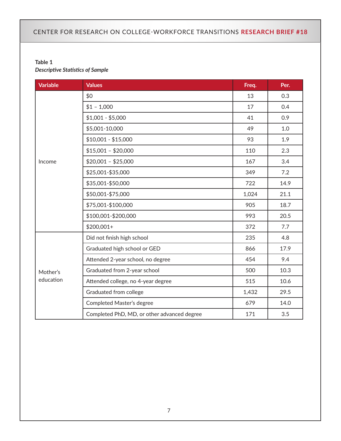#### **Table 1**  *Descriptive Statistics of Sample*

| <b>Variable</b> | <b>Values</b>                               | Freq. | Per. |
|-----------------|---------------------------------------------|-------|------|
|                 | \$0                                         | 13    | 0.3  |
|                 | $$1 - 1,000$                                | 17    | 0.4  |
|                 | $$1,001 - $5,000$                           | 41    | 0.9  |
|                 | \$5,001-10,000                              | 49    | 1.0  |
|                 | $$10,001 - $15,000$                         | 93    | 1.9  |
|                 | $$15,001 - $20,000$                         | 110   | 2.3  |
| Income          | $$20,001 - $25,000$                         | 167   | 3.4  |
|                 | \$25,001-\$35,000                           | 349   | 7.2  |
|                 | \$35,001-\$50,000                           | 722   | 14.9 |
|                 | \$50,001-\$75,000                           | 1,024 | 21.1 |
|                 | \$75,001-\$100,000                          | 905   | 18.7 |
|                 | \$100,001-\$200,000                         | 993   | 20.5 |
|                 | $$200,001+$                                 | 372   | 7.7  |
|                 | Did not finish high school                  | 235   | 4.8  |
|                 | Graduated high school or GED                | 866   | 17.9 |
|                 | Attended 2-year school, no degree           | 454   | 9.4  |
| Mother's        | Graduated from 2-year school                | 500   | 10.3 |
| education       | Attended college, no 4-year degree          | 515   | 10.6 |
|                 | Graduated from college                      | 1,432 | 29.5 |
|                 | Completed Master's degree                   | 679   | 14.0 |
|                 | Completed PhD, MD, or other advanced degree | 171   | 3.5  |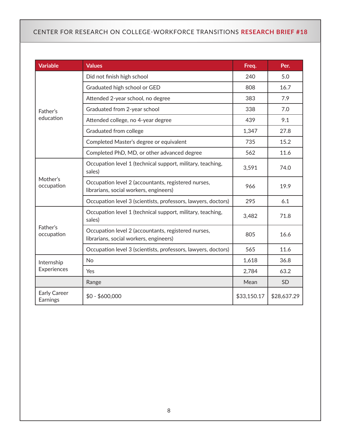| <b>Variable</b>                 | <b>Values</b>                                                                                 | Freq.       | Per.        |
|---------------------------------|-----------------------------------------------------------------------------------------------|-------------|-------------|
|                                 | Did not finish high school                                                                    | 240         | 5.0         |
|                                 | Graduated high school or GED                                                                  | 808         | 16.7        |
|                                 | Attended 2-year school, no degree                                                             | 383         | 7.9         |
| Father's                        | Graduated from 2-year school                                                                  | 338         | 7.0         |
| education                       | Attended college, no 4-year degree                                                            | 439         | 9.1         |
|                                 | Graduated from college                                                                        | 1,347       | 27.8        |
|                                 | Completed Master's degree or equivalent                                                       | 735         | 15.2        |
|                                 | Completed PhD, MD, or other advanced degree                                                   | 562         | 11.6        |
| Mother's<br>occupation          | Occupation level 1 (technical support, military, teaching,<br>sales)                          | 3,591       | 74.0        |
|                                 | Occupation level 2 (accountants, registered nurses,<br>librarians, social workers, engineers) | 966         | 19.9        |
|                                 | Occupation level 3 (scientists, professors, lawyers, doctors)                                 | 295         | 6.1         |
|                                 | Occupation level 1 (technical support, military, teaching,<br>sales)                          | 3,482       | 71.8        |
| Father's<br>occupation          | Occupation level 2 (accountants, registered nurses,<br>librarians, social workers, engineers) | 805         | 16.6        |
|                                 | Occupation level 3 (scientists, professors, lawyers, doctors)                                 | 565         | 11.6        |
| Internship                      | <b>No</b>                                                                                     | 1,618       | 36.8        |
| Experiences                     | Yes                                                                                           | 2,784       | 63.2        |
|                                 | Range                                                                                         | Mean        | <b>SD</b>   |
| <b>Early Career</b><br>Earnings | $$0 - $600,000$                                                                               | \$33,150.17 | \$28,637.29 |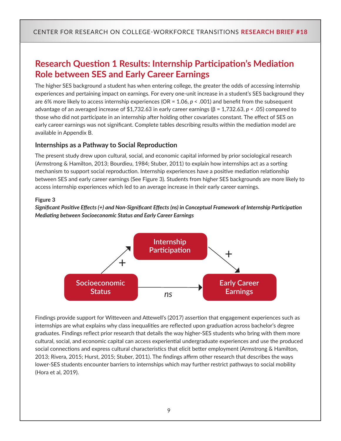## **Research Question 1 Results: Internship Participation's Mediation Role between SES and Early Career Earnings**

The higher SES background a student has when entering college, the greater the odds of accessing internship experiences and pertaining impact on earnings. For every one-unit increase in a student's SES background they are 6% more likely to access internship experiences (OR = 1.06, *p* < .001) and benefit from the subsequent advantage of an averaged increase of \$1,732.63 in early career earnings (β = 1,732.63, *p* < .05) compared to those who did not participate in an internship after holding other covariates constant. The effect of SES on early career earnings was not significant. Complete tables describing results within the mediation model are available in Appendix B.

#### **Internships as a Pathway to Social Reproduction**

The present study drew upon cultural, social, and economic capital informed by prior sociological research (Armstrong & Hamilton, 2013; Bourdieu, 1984; Stuber, 2011) to explain how internships act as a sorting mechanism to support social reproduction. Internship experiences have a positive mediation relationship between SES and early career earnings (See Figure 3). Students from higher SES backgrounds are more likely to access internship experiences which led to an average increase in their early career earnings.

#### **Figure 3**

*Significant Positive Effects (+) and Non-Significant Effects (ns) in Conceptual Framework of Internship Participation Mediating between Socioeconomic Status and Early Career Earnings* 



Findings provide support for Witteveen and Attewell's (2017) assertion that engagement experiences such as internships are what explains why class inequalities are reflected upon graduation across bachelor's degree graduates. Findings reflect prior research that details the way higher-SES students who bring with them more cultural, social, and economic capital can access experiential undergraduate experiences and use the produced social connections and express cultural characteristics that elicit better employment (Armstrong & Hamilton, 2013; Rivera, 2015; Hurst, 2015; Stuber, 2011). The findings affirm other research that describes the ways lower-SES students encounter barriers to internships which may further restrict pathways to social mobility (Hora et al, 2019).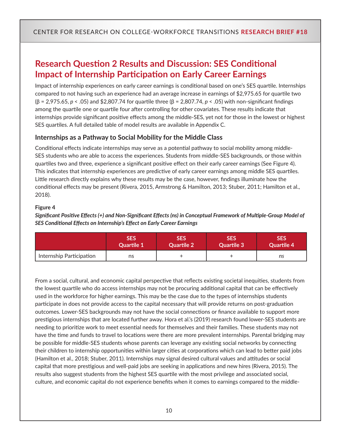## **Research Question 2 Results and Discussion: SES Conditional Impact of Internship Participation on Early Career Earnings**

Impact of internship experiences on early career earnings is conditional based on one's SES quartile. Internships compared to not having such an experience had an average increase in earnings of \$2,975.65 for quartile two (β = 2,975.65, *p* < .05) and \$2,807.74 for quartile three (β = 2,807.74, *p* < .05) with non-significant findings among the quartile one or quartile four after controlling for other covariates. These results indicate that internships provide significant positive effects among the middle-SES, yet not for those in the lowest or highest SES quartiles. A full detailed table of model results are available in Appendix C.

#### **Internships as a Pathway to Social Mobility for the Middle Class**

Conditional effects indicate internships may serve as a potential pathway to social mobility among middle-SES students who are able to access the experiences. Students from middle-SES backgrounds, or those within quartiles two and three, experience a significant positive effect on their early career earnings (See Figure 4). This indicates that internship experiences are predictive of early career earnings among middle SES quartiles. Little research directly explains why these results may be the case, however, findings illuminate how the conditional effects may be present (Rivera, 2015, Armstrong & Hamilton, 2013; Stuber, 2011; Hamilton et al., 2018).

#### **Figure 4**

*Significant Positive Effects (+) and Non-Significant Effects (ns) in Conceptual Framework of Multiple-Group Model of SES Conditional Effects on Internship's Effect on Early Career Earnings*

|                          | <b>SES</b>        | <b>SES</b>        | <b>SES</b>        | <b>SES</b> |
|--------------------------|-------------------|-------------------|-------------------|------------|
|                          | <b>Quartile 1</b> | <b>Quartile 2</b> | <b>Quartile 3</b> | Quartile 4 |
| Internship Participation | ns                |                   |                   | ns         |

From a social, cultural, and economic capital perspective that reflects existing societal inequities, students from the lowest quartile who do access internships may not be procuring additional capital that can be effectively used in the workforce for higher earnings. This may be the case due to the types of internships students participate in does not provide access to the capital necessary that will provide returns on post-graduation outcomes. Lower-SES backgrounds may not have the social connections or finance available to support more prestigious internships that are located further away. Hora et al.'s (2019) research found lower-SES students are needing to prioritize work to meet essential needs for themselves and their families. These students may not have the time and funds to travel to locations were there are more prevalent internships. Parental bridging may be possible for middle-SES students whose parents can leverage any existing social networks by connecting their children to internship opportunities within larger cities at corporations which can lead to better paid jobs (Hamilton et al., 2018; Stuber, 2011). Internships may signal desired cultural values and attitudes or social capital that more prestigious and well-paid jobs are seeking in applications and new hires (Rivera, 2015). The results also suggest students from the highest SES quartile with the most privilege and associated social, culture, and economic capital do not experience benefits when it comes to earnings compared to the middle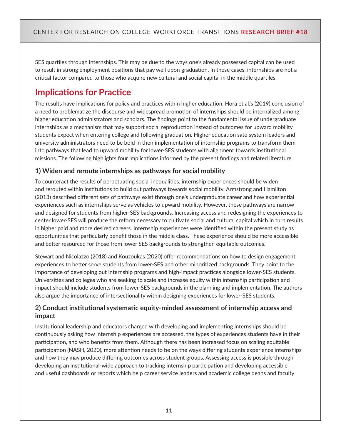SES quartiles through internships. This may be due to the ways one's already possessed capital can be used to result in strong employment positions that pay well upon graduation. In these cases, internships are not a critical factor compared to those who acquire new cultural and social capital in the middle quartiles.

## **Implications for Practice**

The results have implications for policy and practices within higher education. Hora et al.'s (2019) conclusion of a need to problematize the discourse and widespread promotion of internships should be internalized among higher education administrators and scholars. The findings point to the fundamental issue of undergraduate internships as a mechanism that may support social reproduction instead of outcomes for upward mobility students expect when entering college and following graduation. Higher education sate system leaders and university administrators need to be bold in their implementation of internship programs to transform them into pathways that lead to upward mobility for lower-SES students with alignment towards institutional missions. The following highlights four implications informed by the present findings and related literature.

### **1) Widen and reroute internships as pathways for social mobility**

To counteract the results of perpetuating social inequalities, internship experiences should be widen and rerouted within institutions to build out pathways towards social mobility. Armstrong and Hamilton (2013) described different sets of pathways exist through one's undergraduate career and how experiential experiences such as internships serve as vehicles to upward mobility. However, these pathways are narrow and designed for students from higher-SES backgrounds. Increasing access and redesigning the experiences to center lower-SES will produce the reform necessary to cultivate social and cultural capital which in turn results in higher paid and more desired careers. Internship experiences were identified within the present study as opportunities that particularly benefit those in the middle class. These experience should be more accessible and better resourced for those from lower SES backgrounds to strengthen equitable outcomes.

Stewart and Nicolazzo (2018) and Kouzoukas (2020) offer recommendations on how to design engagement experiences to better serve students from lower-SES and other minoritized backgrounds. They point to the importance of developing out internship programs and high-impact practices alongside lower-SES students. Universities and colleges who are seeking to scale and increase equity within internship participation and impact should include students from lower-SES backgrounds in the planning and implementation. The authors also argue the importance of intersectionality within designing experiences for lower-SES students.

### **2) Conduct institutional systematic equity-minded assessment of internship access and impact**

Institutional leadership and educators charged with developing and implementing internships should be continuously asking how internship experiences are accessed, the types of experiences students have in their participation, and who benefits from them. Although there has been increased focus on scaling equitable participation (NASH, 2020), more attention needs to be on the ways differing students experience internships and how they may produce differing outcomes across student groups. Assessing access is possible through developing an institutional-wide approach to tracking internship participation and developing accessible and useful dashboards or reports which help career service leaders and academic college deans and faculty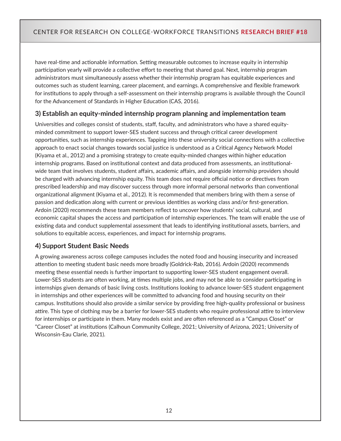have real-time and actionable information. Setting measurable outcomes to increase equity in internship participation yearly will provide a collective effort to meeting that shared goal. Next, internship program administrators must simultaneously assess whether their internship program has equitable experiences and outcomes such as student learning, career placement, and earnings. A comprehensive and flexible framework for institutions to apply through a self-assessment on their internship programs is available through the Council for the Advancement of Standards in Higher Education (CAS, 2016).

### **3) Establish an equity-minded internship program planning and implementation team**

Universities and colleges consist of students, staff, faculty, and administrators who have a shared equityminded commitment to support lower-SES student success and through critical career development opportunities, such as internship experiences. Tapping into these university social connections with a collective approach to enact social changes towards social justice is understood as a Critical Agency Network Model (Kiyama et al., 2012) and a promising strategy to create equity-minded changes within higher education internship programs. Based on institutional context and data produced from assessments, an institutionalwide team that involves students, student affairs, academic affairs, and alongside internship providers should be charged with advancing internship equity. This team does not require official notice or directives from prescribed leadership and may discover success through more informal personal networks than conventional organizational alignment (Kiyama et al., 2012). It is recommended that members bring with them a sense of passion and dedication along with current or previous identities as working class and/or first-generation. Ardoin (2020) recommends these team members reflect to uncover how students' social, cultural, and economic capital shapes the access and participation of internship experiences. The team will enable the use of existing data and conduct supplemental assessment that leads to identifying institutional assets, barriers, and solutions to equitable access, experiences, and impact for internship programs.

### **4) Support Student Basic Needs**

A growing awareness across college campuses includes the noted food and housing insecurity and increased attention to meeting student basic needs more broadly (Goldrick-Rab, 2016). Ardoin (2020) recommends meeting these essential needs is further important to supporting lower-SES student engagement overall. Lower-SES students are often working, at times multiple jobs, and may not be able to consider participating in internships given demands of basic living costs. Institutions looking to advance lower-SES student engagement in internships and other experiences will be committed to advancing food and housing security on their campus. Institutions should also provide a similar service by providing free high-quality professional or business attire. This type of clothing may be a barrier for lower-SES students who require professional attire to interview for internships or participate in them. Many models exist and are often referenced as a "Campus Closet" or "Career Closet" at institutions (Calhoun Community College, 2021; University of Arizona, 2021; University of Wisconsin-Eau Clarie, 2021).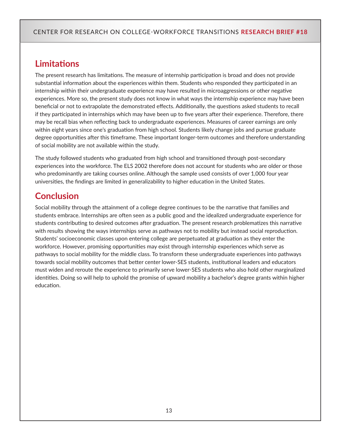## **Limitations**

The present research has limitations. The measure of internship participation is broad and does not provide substantial information about the experiences within them. Students who responded they participated in an internship within their undergraduate experience may have resulted in microaggressions or other negative experiences. More so, the present study does not know in what ways the internship experience may have been beneficial or not to extrapolate the demonstrated effects. Additionally, the questions asked students to recall if they participated in internships which may have been up to five years after their experience. Therefore, there may be recall bias when reflecting back to undergraduate experiences. Measures of career earnings are only within eight years since one's graduation from high school. Students likely change jobs and pursue graduate degree opportunities after this timeframe. These important longer-term outcomes and therefore understanding of social mobility are not available within the study.

The study followed students who graduated from high school and transitioned through post-secondary experiences into the workforce. The ELS 2002 therefore does not account for students who are older or those who predominantly are taking courses online. Although the sample used consists of over 1,000 four year universities, the findings are limited in generalizability to higher education in the United States.

## **Conclusion**

Social mobility through the attainment of a college degree continues to be the narrative that families and students embrace. Internships are often seen as a public good and the idealized undergraduate experience for students contributing to desired outcomes after graduation. The present research problematizes this narrative with results showing the ways internships serve as pathways not to mobility but instead social reproduction. Students' socioeconomic classes upon entering college are perpetuated at graduation as they enter the workforce. However, promising opportunities may exist through internship experiences which serve as pathways to social mobility for the middle class. To transform these undergraduate experiences into pathways towards social mobility outcomes that better center lower-SES students, institutional leaders and educators must widen and reroute the experience to primarily serve lower-SES students who also hold other marginalized identities. Doing so will help to uphold the promise of upward mobility a bachelor's degree grants within higher education.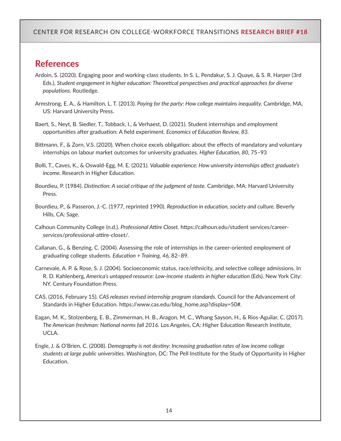### **References**

- Ardoin, S. (2020). Engaging poor and working-class students. In S. L. Pendakur, S. J. Quaye, & S. R. Harper (3rd Eds.), *Student engagement in higher education: Theoretical perspectives and practical approaches for diverse populations.* Routledge.
- Armstrong, E. A., & Hamilton, L. T. (2013). *Paying for the party: How college maintains inequality.* Cambridge, MA, US: Harvard University Press.
- Baert, S., Neyt, B. Siedler, T., Tobback, I., & Verhaest, D. (2021). Student internships and employment opportunities after graduation: A field experiment. *Economics of Education Review, 83.*
- Bittmann, F., & Zorn, V.S. (2020). When choice excels obligation: about the effects of mandatory and voluntary internships on labour market outcomes for university graduates. *Higher Education, 80,* 75–93
- Bolli, T., Caves, K., & Oswald-Egg, M. E. (2021). *Valuable experience: How university internships affect graduate's income.* Research in Higher Education.
- Bourdieu, P. (1984). *Distinction: A social critique of the judgment of taste.* Cambridge, MA: Harvard University Press.
- Bourdieu, P., & Passeron, J.-C. (1977, reprinted 1990). *Reproduction in education, society and culture.* Beverly Hills, CA: Sage.
- Calhoun Community College (n.d.). *Professional Attire Closet.* https://calhoun.edu/student services/careerservices/professional-attire-closet/.
- Callanan, G., & Benzing, C. (2004). Assessing the role of internships in the career-oriented employment of graduating college students. *Education + Training, 46,* 82–89.
- Carnevale, A. P. & Rose, S. J. (2004). Socioeconomic status, race/ethnicity, and selective college admissions. In R. D. Kahlenberg, *America's untapped resource: Low-income students in higher education* (Eds). New York City: NY. Century Foundation Press.
- CAS. (2016, February 15). *CAS releases revised internship program standards.* Council for the Advancement of Standards in Higher Education. https://www.cas.edu/blog\_home.asp?display=50#.
- Eagan, M. K., Stolzenberg, E. B., Zimmerman, H. B., Aragon, M. C., Whang Sayson, H., & Rios-Aguilar, C. (2017). *The American freshman: National norms fall 2016.* Los Angeles, CA: Higher Education Research Institute, UCLA.
- Engle, J. & O'Brien, C. (2008). *Demography is not destiny: Increasing graduation rates of low income college students at large public universities.* Washington, DC: The Pell Institute for the Study of Opportunity in Higher Education.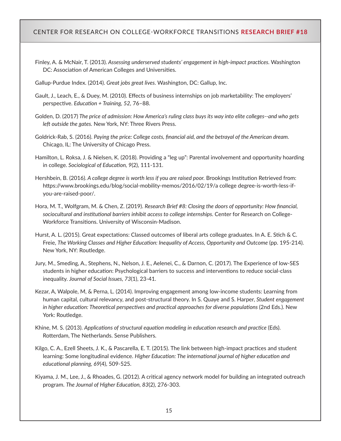- Finley, A. & McNair, T. (2013). *Assessing underserved students' engagement in high-impact practices.* Washington DC: Association of American Colleges and Universities.
- Gallup-Purdue Index. (2014). *Great jobs great lives.* Washington, DC: Gallup, Inc.
- Gault, J., Leach, E., & Duey, M. (2010). Effects of business internships on job marketability: The employers' perspective. *Education + Training, 52,* 76–88.
- Golden, D. (2017) *The price of admission: How America's ruling class buys its way into elite colleges--and who gets left outside the gates.* New York, NY: Three Rivers Press.
- Goldrick-Rab, S. (2016). *Paying the price: College costs, financial aid, and the betrayal of the American dream.* Chicago, IL: The University of Chicago Press.
- Hamilton, L. Roksa, J. & Nielsen, K. (2018). Providing a "leg up": Parental involvement and opportunity hoarding in college. *Sociological of Education, 9*(2), 111-131.
- Hershbein, B. (2016). *A college degree is worth less if you are raised poor.* Brookings Institution Retrieved from: https://www.brookings.edu/blog/social-mobility-memos/2016/02/19/a college degree-is-worth-less-ifyou-are-raised-poor/.
- Hora, M. T., Wolfgram, M. & Chen, Z. (2019). *Research Brief #8: Closing the doors of opportunity: How financial, sociocultural and institutional barriers inhibit access to college internships.* Center for Research on College-Workforce Transitions. University of Wisconsin-Madison.
- Hurst, A. L. (2015). Great expectations: Classed outcomes of liberal arts college graduates. In A. E. Stich & C. Freie, *The Working Classes and Higher Education: Inequality of Access, Opportunity and Outcome* (pp. 195-214). New York, NY: Routledge.
- Jury, M., Smeding, A., Stephens, N., Nelson, J. E., Aelenei, C., & Darnon, C. (2017). The Experience of low-SES students in higher education: Psychological barriers to success and interventions to reduce social-class inequality. *Journal of Social Issues, 73*(1), 23-41.
- Kezar, A, Walpole, M, & Perna, L. (2014). Improving engagement among low-income students: Learning from human capital, cultural relevancy, and post-structural theory. In S. Quaye and S. Harper, *Student engagement in higher education: Theoretical perspectives and practical approaches for diverse populations (2nd Eds.). New* York: Routledge.
- Khine, M. S. (2013). *Applications of structural equation modeling in education research and practice* (Eds). Rotterdam, The Netherlands. Sense Publishers.
- Kilgo, C. A., Ezell Sheets, J. K., & Pascarella, E. T. (2015). The link between high-impact practices and student learning: Some longitudinal evidence. *Higher Education: The international journal of higher education and educational planning, 69*(4), 509-525.
- Kiyama, J. M., Lee, J., & Rhoades, G. (2012). A critical agency network model for building an integrated outreach program. *The Journal of Higher Education, 83*(2), 276-303.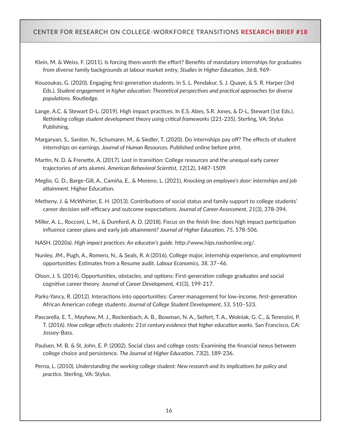- Klein, M. & Weiss, F. (2011). Is forcing them worth the effort? Benefits of mandatory internships for graduates from diverse family backgrounds at labour market entry, *Studies in Higher Education, 36*:8, 969-
- Kouzoukas, G. (2020). Engaging first-generation students. In S. L. Pendakur, S. J. Quaye, & S. R. Harper (3rd Eds.), *Student engagement in higher education: Theoretical perspectives and practical approaches for diverse populations.* Routledge.
- Lange, A.C. & Stewart D-L. (2019). High impact practices. In E.S. Abes, S.R. Jones, & D-L, Stewart (1st Eds.). *Rethinking college student development theory using critical frameworks* (221-235). Sterling, VA: Stylus Publishing.
- Margaryan, S., Saniter, N., Schumann, M., & Siedler, T. (2020). Do internships pay off? The effects of student internships on earnings. *Journal of Human Resources.* Published online before print.
- Martin, N. D. & Frenette, A. (2017). Lost in transition: College resources and the unequal early career trajectories of arts alumni. *American Behavioral Scientist, 12*(12), 1487-1509.
- Meglio, G. D., Barge-Gill, A., Camiña, E., & Moreno, L. (2021). *Knocking on employee's door: internships and job attainment.* Higher Education.
- Metheny, J. & McWhirter, E. H. (2013). Contributions of social status and family support to college students' career decision self-efficacy and outcome expectations. *Journal of Career Assessment, 21*(3), 378-394.
- Miller, A. L., Rocconi, L. M., & Dumford, A. D. (2018). Focus on the finish line: does high impact participation influence career plans and early job attainment? *Journal of Higher Education, 75,* 578-506.
- NASH. (2020a). *High impact practices: An educator's guide.* http://www.hips.nashonline.org/.
- Nunley, JM., Pugh, A., Romero, N., & Seals, R. A (2016). College major, internship experience, and employment opportunities: Estimates from a Resume audit. *Labour Economics, 38,* 37–46.
- Olson, J. S. (2014). Opportunities, obstacles, and options: First-generation college graduates and social cognitive career theory. *Journal of Career Development, 41*(3), 199-217.
- Parks-Yancy, R. (2012). Interactions into opportunities: Career management for low-income, first-generation African American college students. *Journal of College Student Development, 53,* 510–523.
- Pascarella, E. T., Mayhew, M. J., Rockenbach, A. B., Bowman, N. A., Seifert, T. A., Wolniak, G. C., & Terenzini, P. T. (2016). *How college affects students: 21st century evidence that higher education works.* San Francisco, CA: Jossey-Bass.
- Paulsen, M. B. & St. John, E. P. (2002). Social class and college costs: Examining the financial nexus between college choice and persistence. *The Journal of Higher Education, 73*(2), 189-236.
- Perna, L. (2010). *Understanding the working college student: New research and its implications for policy and practice.* Sterling, VA: Stylus.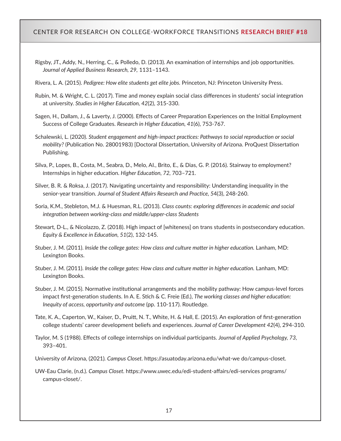- Rigsby, JT., Addy, N., Herring, C., & Polledo, D. (2013). An examination of internships and job opportunities. *Journal of Applied Business Research, 29,* 1131–1143.
- Rivera, L. A. (2015). *Pedigree: How elite students get elite jobs.* Princeton, NJ: Princeton University Press.
- Rubin, M. & Wright, C. L. (2017). Time and money explain social class differences in students' social integration at university. *Studies in Higher Education, 42*(2), 315-330.
- Sagen, H., Dallam, J., & Laverty, J. (2000). Effects of Career Preparation Experiences on the Initial Employment Success of College Graduates. *Research in Higher Education, 41*(6), 753-767.
- Schalewski, L. (2020). *Student engagement and high-impact practices: Pathways to social reproduction or social mobility?* (Publication No. 28001983) [Doctoral Dissertation, University of Arizona. ProQuest Dissertation Publishing.
- Silva, P., Lopes, B., Costa, M., Seabra, D., Melo, AI., Brito, E., & Dias, G. P. (2016). Stairway to employment? Internships in higher education. *Higher Education, 72,* 703–721.
- Silver, B. R. & Roksa, J. (2017). Navigating uncertainty and responsibility: Understanding inequality in the senior-year transition. *Journal of Student Affairs Research and Practice, 5*4(3), 248-260.
- Soria, K.M., Stebleton, M.J. & Huesman, R.L. (2013). *Class counts: exploring differences in academic and social integration between working-class and middle/upper-class Students*
- Stewart, D-L., & Nicolazzo, Z. (2018). High impact of [whiteness] on trans students in postsecondary education. *Equity & Excellence in Education, 51*(2), 132-145.
- Stuber, J. M. (2011). *Inside the college gates: How class and culture matter in higher education*. Lanham, MD: Lexington Books.
- Stuber, J. M. (2011). *Inside the college gates: How class and culture matter in higher education.* Lanham, MD: Lexington Books.
- Stuber, J. M. (2015). Normative institutional arrangements and the mobility pathway: How campus-level forces impact first-generation students. In A. E. Stich & C. Freie (Ed.), *The working classes and higher education: Inequity of access, opportunity and outcome* (pp. 110-117). Routledge.
- Tate, K. A., Caperton, W., Kaiser, D., Pruitt, N. T., White, H. & Hall, E. (2015). An exploration of first-generation college students' career development beliefs and experiences. *Journal of Career Development 42*(4), 294-310.
- Taylor, M. S (1988). Effects of college internships on individual participants. *Journal of Applied Psychology, 73,*  393–401.
- University of Arizona, (2021)*. Campus Closet.* https://asuatoday.arizona.edu/what-we do/campus-closet.
- UW-Eau Clarie, (n.d.). *Campus Closet.* https://www.uwec.edu/edi-student-affairs/edi-services programs/ campus-closet/.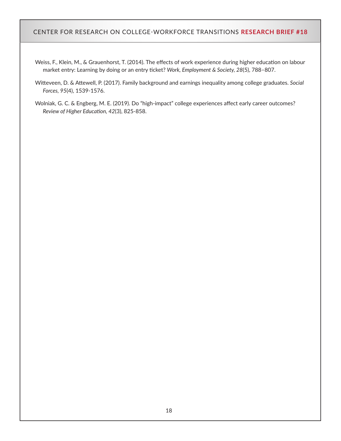- Weiss, F., Klein, M., & Grauenhorst, T. (2014). The effects of work experience during higher education on labour market entry: Learning by doing or an entry ticket? *Work, Employment & Society, 28*(5), 788–807.
- Witteveen, D. & Attewell, P. (2017). Family background and earnings inequality among college graduates. *Social Forces, 95*(4), 1539-1576.
- Wolniak, G. C. & Engberg, M. E. (2019). Do "high-impact" college experiences affect early career outcomes? *Review of Higher Education, 42*(3), 825-858.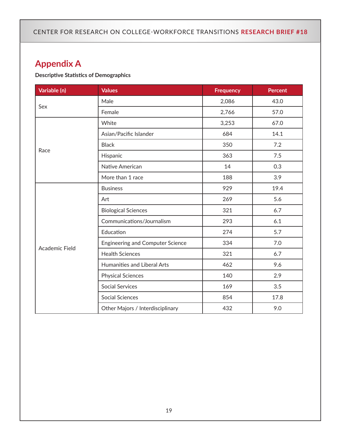## **Appendix A**

#### **Descriptive Statistics of Demographics**

| Variable (n)          | <b>Values</b>                           | <b>Frequency</b> | <b>Percent</b> |
|-----------------------|-----------------------------------------|------------------|----------------|
|                       | Male                                    | 2,086            | 43.0           |
| Sex                   | Female                                  | 2,766            | 57.0           |
|                       | White                                   | 3,253            | 67.0           |
|                       | Asian/Pacific Islander                  | 684              | 14.1           |
|                       | <b>Black</b>                            | 350              | 7.2            |
| Race                  | Hispanic                                | 363              | 7.5            |
|                       | Native American                         | 14               | 0.3            |
|                       | More than 1 race                        | 188              | 3.9            |
|                       | <b>Business</b>                         | 929              | 19.4           |
|                       | Art                                     | 269              | 5.6            |
|                       | <b>Biological Sciences</b>              | 321              | 6.7            |
|                       | Communications/Journalism               | 293              | 6.1            |
|                       | Education                               | 274              | 5.7            |
|                       | <b>Engineering and Computer Science</b> | 334              | 7.0            |
| <b>Academic Field</b> | <b>Health Sciences</b>                  | 321              | 6.7            |
|                       | Humanities and Liberal Arts             | 462              | 9.6            |
|                       | <b>Physical Sciences</b>                | 140              | 2.9            |
|                       | <b>Social Services</b>                  | 169              | 3.5            |
|                       | <b>Social Sciences</b>                  | 854              | 17.8           |
|                       | Other Majors / Interdisciplinary        | 432              | 9.0            |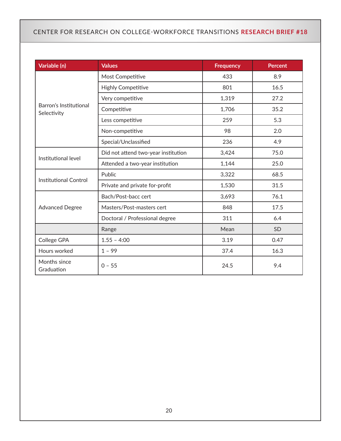| Variable (n)                          | <b>Values</b>                       | <b>Frequency</b> | <b>Percent</b> |
|---------------------------------------|-------------------------------------|------------------|----------------|
|                                       | Most Competitive                    | 433              | 8.9            |
|                                       | <b>Highly Competitive</b>           | 801              | 16.5           |
|                                       | Very competitive                    | 1,319            | 27.2           |
| Barron's Institutional<br>Selectivity | Competitive                         | 1,706            | 35.2           |
|                                       | Less competitive                    | 259              | 5.3            |
|                                       | Non-competitive                     | 98               | 2.0            |
|                                       | Special/Unclassified                | 236              | 4.9            |
|                                       | Did not attend two-year institution | 3,424            | 75.0           |
| Institutional level                   | Attended a two-year institution     | 1,144            | 25.0           |
|                                       | Public                              | 3,322            | 68.5           |
| <b>Institutional Control</b>          | Private and private for-profit      | 1,530            | 31.5           |
|                                       | Bach/Post-bacc cert                 | 3,693            | 76.1           |
| <b>Advanced Degree</b>                | Masters/Post-masters cert           | 848              | 17.5           |
|                                       | Doctoral / Professional degree      | 311              | 6.4            |
|                                       | Range                               | Mean             | SD             |
| College GPA                           | $1.55 - 4:00$                       | 3.19             | 0.47           |
| Hours worked                          | $1 - 99$                            | 37.4             | 16.3           |
| Months since<br>Graduation            | $0 - 55$                            | 24.5             | 9.4            |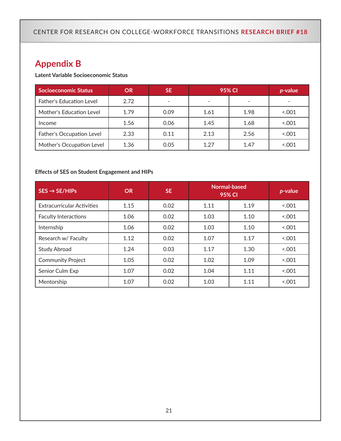## **Appendix B**

#### **Latent Variable Socioeconomic Status**

| <b>Socioeconomic Status</b> | <b>OR</b> | <b>SE</b>                | 95% CI                   |      | $p$ -value |
|-----------------------------|-----------|--------------------------|--------------------------|------|------------|
| Father's Education Level    | 2.72      | $\overline{\phantom{a}}$ | $\overline{\phantom{0}}$ |      |            |
| Mother's Education Level    | 1.79      | 0.09                     | 1.61                     | 1.98 | 001        |
| Income                      | 1.56      | 0.06                     | 1.45                     | 1.68 | 001        |
| Father's Occupation Level   | 2.33      | 0.11                     | 2.13                     | 2.56 | 0.001      |
| Mother's Occupation Level   | 1.36      | 0.05                     | 1.27                     | 1.47 | 001        |

#### **Effects of SES on Student Engagement and HIPs**

| $SES \rightarrow SE/HIPS$         | <b>OR</b> | <b>SE</b> | 95% CI | Normal-based | p-value |
|-----------------------------------|-----------|-----------|--------|--------------|---------|
| <b>Extracurricular Activities</b> | 1.15      | 0.02      | 1.11   | 1.19         | 0.001   |
| <b>Faculty Interactions</b>       | 1.06      | 0.02      | 1.03   | 1.10         | 0.001   |
| Internship                        | 1.06      | 0.02      | 1.03   | 1.10         | 0.001   |
| Research w/ Faculty               | 1.12      | 0.02      | 1.07   | 1.17         | 0.001   |
| <b>Study Abroad</b>               | 1.24      | 0.03      | 1.17   | 1.30         | 0.001   |
| <b>Community Project</b>          | 1.05      | 0.02      | 1.02   | 1.09         | 0.001   |
| Senior Culm Exp                   | 1.07      | 0.02      | 1.04   | 1.11         | 0.001   |
| Mentorship                        | 1.07      | 0.02      | 1.03   | 1.11         | 0.001   |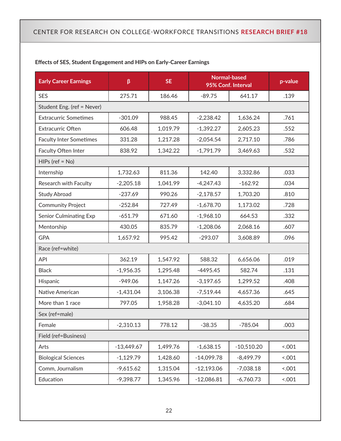| <b>Early Career Earnings</b>   | β            | <b>SE</b> |              | <b>Normal-based</b><br>95% Conf. Interval | p-value |
|--------------------------------|--------------|-----------|--------------|-------------------------------------------|---------|
| <b>SES</b>                     | 275.71       | 186.46    | $-89.75$     | 641.17                                    | .139    |
| Student Eng. (ref = Never)     |              |           |              |                                           |         |
| <b>Extracurric Sometimes</b>   | $-301.09$    | 988.45    | $-2,238.42$  | 1,636.24                                  | .761    |
| <b>Extracurric Often</b>       | 606.48       | 1,019.79  | $-1,392.27$  | 2,605.23                                  | .552    |
| <b>Faculty Inter Sometimes</b> | 331.28       | 1,217.28  | $-2,054.54$  | 2,717.10                                  | .786    |
| Faculty Often Inter            | 838.92       | 1,342.22  | $-1,791.79$  | 3,469.63                                  | .532    |
| $HIPs$ (ref = No)              |              |           |              |                                           |         |
| Internship                     | 1,732.63     | 811.36    | 142.40       | 3,332.86                                  | .033    |
| Research with Faculty          | $-2,205.18$  | 1,041.99  | $-4,247.43$  | $-162.92$                                 | .034    |
| <b>Study Abroad</b>            | $-237.69$    | 990.26    | $-2,178.57$  | 1,703.20                                  | .810    |
| <b>Community Project</b>       | $-252.84$    | 727.49    | $-1,678.70$  | 1,173.02                                  | .728    |
| <b>Senior Culminating Exp</b>  | $-651.79$    | 671.60    | $-1,968.10$  | 664.53                                    | .332    |
| Mentorship                     | 430.05       | 835.79    | $-1,208.06$  | 2,068.16                                  | .607    |
| <b>GPA</b>                     | 1,657.92     | 995.42    | $-293.07$    | 3,608.89                                  | .096    |
| Race (ref=white)               |              |           |              |                                           |         |
| <b>API</b>                     | 362.19       | 1,547.92  | 588.32       | 6,656.06                                  | .019    |
| <b>Black</b>                   | $-1,956.35$  | 1,295.48  | $-4495.45$   | 582.74                                    | .131    |
| Hispanic                       | $-949.06$    | 1,147.26  | $-3,197.65$  | 1,299.52                                  | .408    |
| Native American                | $-1,431.04$  | 3,106.38  | $-7,519.44$  | 4,657.36                                  | .645    |
| More than 1 race               | 797.05       | 1,958.28  | $-3,041.10$  | 4,635.20                                  | .684    |
| Sex (ref=male)                 |              |           |              |                                           |         |
| Female                         | $-2,310.13$  | 778.12    | $-38.35$     | $-785.04$                                 | .003    |
| Field (ref=Business)           |              |           |              |                                           |         |
| Arts                           | $-13,449.67$ | 1,499.76  | $-1,638.15$  | $-10,510.20$                              | 5.001   |
| <b>Biological Sciences</b>     | $-1,129.79$  | 1,428.60  | $-14,099.78$ | $-8,499.79$                               | 001     |
| Comm, Journalism               | $-9,615.62$  | 1,315.04  | $-12,193.06$ | $-7,038.18$                               | 001     |
| Education                      | $-9,398.77$  | 1,345.96  | $-12,086.81$ | $-6,760.73$                               | 001     |

#### **Effects of SES, Student Engagement and HIPs on Early-Career Earnings**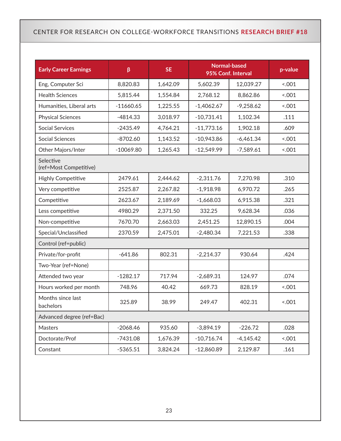| <b>Early Career Earnings</b>        | β           | <b>SE</b> |              | <b>Normal-based</b><br>95% Conf. Interval | p-value |  |  |
|-------------------------------------|-------------|-----------|--------------|-------------------------------------------|---------|--|--|
| Eng, Computer Sci                   | 8,820.83    | 1,642.09  | 5,602.39     | 12,039.27                                 | 001     |  |  |
| <b>Health Sciences</b>              | 5,815.44    | 1,554.84  | 2,768.12     | 8,862.86                                  | 001     |  |  |
| Humanities, Liberal arts            | $-11660.65$ | 1,225.55  | $-1,4062.67$ | $-9,258.62$                               | 001     |  |  |
| <b>Physical Sciences</b>            | $-4814.33$  | 3,018.97  | $-10,731.41$ | 1,102.34                                  | .111    |  |  |
| <b>Social Services</b>              | $-2435.49$  | 4,764.21  | $-11,773.16$ | 1,902.18                                  | .609    |  |  |
| <b>Social Sciences</b>              | $-8702.60$  | 1,143.52  | $-10,943.86$ | $-6,461.34$                               | 001     |  |  |
| Other Majors/Inter                  | $-10069.80$ | 1,265.43  | $-12,549.99$ | $-7,589.61$                               | 001     |  |  |
| Selective<br>(ref=Most Competitive) |             |           |              |                                           |         |  |  |
| <b>Highly Competitive</b>           | 2479.61     | 2,444.62  | $-2,311.76$  | 7,270.98                                  | .310    |  |  |
| Very competitive                    | 2525.87     | 2,267.82  | $-1,918.98$  | 6,970.72                                  | .265    |  |  |
| Competitive                         | 2623.67     | 2,189.69  | $-1,668.03$  | 6,915.38                                  | .321    |  |  |
| Less competitive                    | 4980.29     | 2,371.50  | 332.25       | 9,628.34                                  | .036    |  |  |
| Non-competitive                     | 7670.70     | 2,663.03  | 2,451.25     | 12,890.15                                 | .004    |  |  |
| Special/Unclassified                | 2370.59     | 2,475.01  | $-2,480.34$  | 7,221.53                                  | .338    |  |  |
| Control (ref=public)                |             |           |              |                                           |         |  |  |
| Private/for-profit                  | $-641.86$   | 802.31    | $-2,214.37$  | 930.64                                    | .424    |  |  |
| Two-Year (ref=None)                 |             |           |              |                                           |         |  |  |
| Attended two year                   | $-1282.17$  | 717.94    | $-2,689.31$  | 124.97                                    | .074    |  |  |
| Hours worked per month              | 748.96      | 40.42     | 669.73       | 828.19                                    | 001     |  |  |
| Months since last<br>bachelors      | 325.89      | 38.99     | 249.47       | 402.31                                    | 001     |  |  |
| Advanced degree (ref=Bac)           |             |           |              |                                           |         |  |  |
| Masters                             | $-2068.46$  | 935.60    | $-3,894.19$  | $-226.72$                                 | .028    |  |  |
| Doctorate/Prof                      | $-7431.08$  | 1,676.39  | $-10,716.74$ | $-4,145.42$                               | 001     |  |  |
| Constant                            | $-5365.51$  | 3,824.24  | $-12,860.89$ | 2,129.87                                  | .161    |  |  |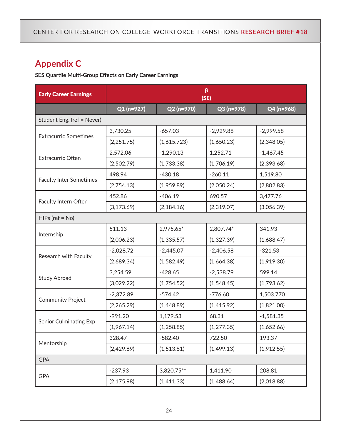## **Appendix C**

**SES Quartile Multi-Group Effects on Early Career Earnings**

| <b>Early Career Earnings</b>   | β<br>(SE)   |             |             |             |
|--------------------------------|-------------|-------------|-------------|-------------|
|                                | $Q1(n=927)$ | Q2 (n=970)  | Q3 (n=978)  | Q4 (n=968)  |
| Student Eng. (ref = Never)     |             |             |             |             |
|                                | 3,730.25    | $-657.03$   | $-2,929.88$ | $-2,999.58$ |
| <b>Extracurric Sometimes</b>   | (2,251.75)  | (1,615.723) | (1,650.23)  | (2,348.05)  |
|                                | 2,572.06    | $-1,290.13$ | 1,252.71    | $-1,467.45$ |
| <b>Extracurric Often</b>       | (2,502.79)  | (1,733.38)  | (1,706.19)  | (2,393.68)  |
|                                | 498.94      | $-430.18$   | $-260.11$   | 1,519.80    |
| <b>Faculty Inter Sometimes</b> | (2,754.13)  | (1,959.89)  | (2,050.24)  | (2,802.83)  |
|                                | 452.86      | $-406.19$   | 690.57      | 3,477.76    |
| Faculty Intern Often           | (3, 173.69) | (2, 184.16) | (2,319.07)  | (3,056.39)  |
| $HIPs$ (ref = No)              |             |             |             |             |
|                                | 511.13      | 2,975.65*   | 2,807.74*   | 341.93      |
| Internship                     | (2,006.23)  | (1,335.57)  | (1,327.39)  | (1,688.47)  |
|                                | $-2,028.72$ | $-2,445.07$ | $-2,406.58$ | $-321.53$   |
| Research with Faculty          | (2,689.34)  | (1,582.49)  | (1,664.38)  | (1,919.30)  |
|                                | 3,254.59    | $-428.65$   | $-2,538.79$ | 599.14      |
| <b>Study Abroad</b>            | (3,029.22)  | (1,754.52)  | (1,548.45)  | (1,793.62)  |
|                                | $-2,372.89$ | $-574.42$   | $-776.60$   | 1,503.770   |
| <b>Community Project</b>       | (2,265.29)  | (1,448.89)  | (1,415.92)  | (1,821.00)  |
|                                | $-991.20$   | 1,179.53    | 68.31       | $-1,581.35$ |
| <b>Senior Culminating Exp</b>  | (1,967.14)  | (1,258.85)  | (1,277.35)  | (1,652.66)  |
|                                | 328.47      | $-582.40$   | 722.50      | 193.37      |
| Mentorship                     | (2,429.69)  | (1,513.81)  | (1,499.13)  | (1,912.55)  |
| <b>GPA</b>                     |             |             |             |             |
|                                | $-237.93$   | 3,820.75**  | 1,411.90    | 208.81      |
| <b>GPA</b>                     | (2, 175.98) | (1,411.33)  | (1,488.64)  | (2,018.88)  |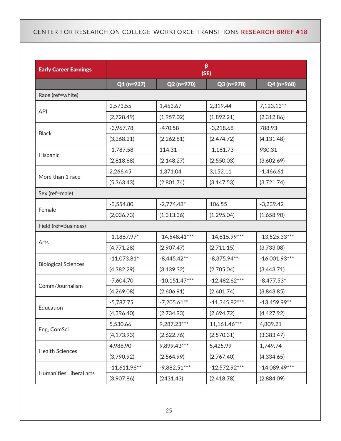| <b>Early Career Earnings</b> |                |                 | β<br>(SE)       |                 |
|------------------------------|----------------|-----------------|-----------------|-----------------|
|                              | $Q1(n=927)$    | Q2 (n=970)      | Q3 (n=978)      | Q4 (n=968)      |
| Race (ref=white)             |                |                 |                 |                 |
| <b>API</b>                   | 2,573.55       | 1,453.67        | 2,319.44        | $7,123.13**$    |
|                              | (2,728.49)     | (1,957.02)      | (1,892.21)      | (2,312.86)      |
|                              | $-3,967.78$    | $-470.58$       | $-3,218.68$     | 788.93          |
| <b>Black</b>                 | (3,268.21)     | (2,262.81)      | (2,474.72)      | (4, 131.48)     |
|                              | $-1,787.58$    | 114.31          | $-1,161.73$     | 930.31          |
| Hispanic                     | (2,818.68)     | (2, 148.27)     | (2,550.03)      | (3,602.69)      |
|                              | 2,266.45       | 1,371.04        | 3,152.11        | $-1,466.61$     |
| More than 1 race             | (5,363.43)     | (2,801.74)      | (3, 147.53)     | (3,721.74)      |
| Sex (ref=male)               |                |                 |                 |                 |
|                              | $-3,554.80$    | $-2,774.48*$    | 106.55          | $-3,239.42$     |
| Female                       | (2,036.73)     | (1,313.36)      | (1,295.04)      | (1,658.90)      |
| Field (ref=Business)         |                |                 |                 |                 |
|                              | $-1,1867.97*$  | $-14,548.41***$ | $-14,615.99***$ | $-13,525.33***$ |
| Arts                         | (4,771.28)     | (2,907.47)      | (2,711.15)      | (3,733.08)      |
|                              | $-11,073.81*$  | $-8,445.42**$   | $-8,375.94**$   | $-16,001.93***$ |
| <b>Biological Sciences</b>   | (4,382.29)     | (3, 139.32)     | (2,705.04)      | (3,443.71)      |
| Comm/Journalism              | $-7,604.70$    | $-10,151.47***$ | $-12,482.62***$ | $-8,477.53*$    |
|                              | (4,269.08)     | (2,606.91)      | (2,601.74)      | (3,843.85)      |
|                              | $-5,787.75$    | $-7,205.61**$   | $-11,345.82***$ | $-13,459.99**$  |
| Education                    | (4,396.40)     | (2,734.93)      | (2,694.72)      | (4,427.92)      |
|                              | 5,530.66       | 9,287.23***     | 11,161.46***    | 4,809.21        |
| Eng, ComSci                  | (4, 173.93)    | (2,622.76)      | (2,570.31)      | (3,383.47)      |
|                              | 4,988.90       | 9,899.43***     | 5,425.99        | 1,749.74        |
| <b>Health Sciences</b>       | (3,790.92)     | (2,564.99)      | (2,767.40)      | (4,334.65)      |
|                              | $-11,611.96**$ | $-9,882.51***$  | $-12,572.92***$ | $-14,089.49***$ |
| Humanities; liberal arts     | (3,907.86)     | (2431.43)       | (2,418.78)      | (2,884.09)      |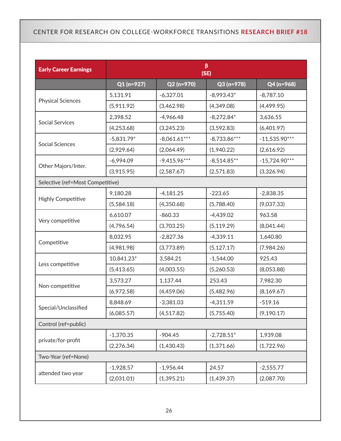| <b>Early Career Earnings</b>     | β<br>(SE)    |                |                |                 |  |
|----------------------------------|--------------|----------------|----------------|-----------------|--|
|                                  | $Q1(n=927)$  | Q2 (n=970)     | Q3 (n=978)     | Q4 (n=968)      |  |
|                                  | 5,131.91     | $-6,327.01$    | $-8,993.43*$   | $-8,787.10$     |  |
| <b>Physical Sciences</b>         | (5,911.92)   | (3,462.98)     | (4,349.08)     | (4,499.95)      |  |
|                                  | 2,398.52     | $-4,966.48$    | $-8,272.84*$   | 3,636.55        |  |
| <b>Social Services</b>           | (4,253.68)   | (3,245.23)     | (3,592.83)     | (6,401.97)      |  |
| <b>Social Sciences</b>           | $-5,831.79*$ | $-8,061.61***$ | $-8,733.86***$ | $-11,535.90***$ |  |
|                                  | (2,929.64)   | (2,064.49)     | (1,940.22)     | (2,616.92)      |  |
|                                  | $-6,994.09$  | $-9,415.96***$ | $-8,514.85**$  | $-15,724.90***$ |  |
| Other Majors/Inter.              | (3,915.95)   | (2,587.67)     | (2,571.83)     | (3,326.94)      |  |
| Selective (ref=Most Competitive) |              |                |                |                 |  |
|                                  | 9,180.28     | $-4,181.25$    | $-223.65$      | $-2,838.35$     |  |
| <b>Highly Competitive</b>        | (5,584.18)   | (4,350.68)     | (5,788.40)     | (9,037.33)      |  |
|                                  | 6,610.07     | $-860.33$      | $-4,439.02$    | 963.58          |  |
| Very competitive                 | (4,796.54)   | (3,703.25)     | (5, 119.29)    | (8,041.44)      |  |
|                                  | 8,032.95     | $-2,827.36$    | $-4,339.11$    | 1,640.80        |  |
| Competitive                      | (4,981.98)   | (3,773.89)     | (5, 127.17)    | (7,984.26)      |  |
|                                  | 10,841.23*   | 3,584.21       | $-1,544.00$    | 925.43          |  |
| Less competitive                 | (5,413.65)   | (4,003.55)     | (5,260.53)     | (8,053.88)      |  |
|                                  | 3,573.27     | 1,137.44       | 253.43         | 7,982.30        |  |
| Non-competitive                  | (6,972.58)   | (4,459.06)     | (5,482.96)     | (8, 169.67)     |  |
|                                  | 8,848.69     | $-3,381.03$    | $-4,311.59$    | $-519.16$       |  |
| Special/Unclassified             | (6,085.57)   | (4,517.82)     | (5,755.40)     | (9, 190.17)     |  |
| Control (ref=public)             |              |                |                |                 |  |
|                                  | $-1,370.35$  | $-904.45$      | $-2,728.51*$   | 1,939.08        |  |
| private/for-profit               | (2,276.34)   | (1,430.43)     | (1,371.66)     | (1,722.96)      |  |
| Two-Year (ref=None)              |              |                |                |                 |  |
|                                  | $-1,928.57$  | $-1,956.44$    | 24.57          | $-2,555.77$     |  |
| attended two year                | (2,031.01)   | (1, 395.21)    | (1,439.37)     | (2,087.70)      |  |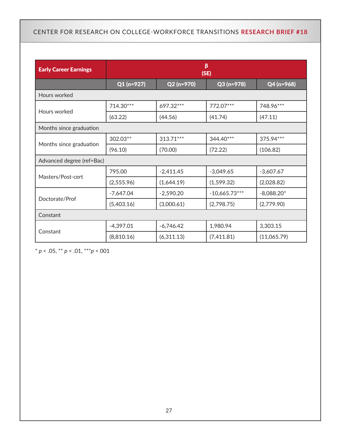| <b>Early Career Earnings</b> | β<br>(SE)   |             |                 |              |
|------------------------------|-------------|-------------|-----------------|--------------|
|                              | $Q1(n=927)$ | Q2 (n=970)  | Q3 (n=978)      | Q4 (n=968)   |
| Hours worked                 |             |             |                 |              |
| Hours worked                 | 714.30***   | 697.32***   | 772.07***       | 748.96***    |
|                              | (63.22)     | (44.56)     | (41.74)         | (47.11)      |
| Months since graduation      |             |             |                 |              |
| Months since graduation      | 302.03**    | 313.71***   | 344.40***       | 375.94***    |
|                              | (96.10)     | (70.00)     | (72.22)         | (106.82)     |
| Advanced degree (ref=Bac)    |             |             |                 |              |
| Masters/Post-cert            | 795.00      | $-2,411.45$ | $-3,049.65$     | $-3,607.67$  |
|                              | (2,555.96)  | (1,644.19)  | (1,599.32)      | (2,028.82)   |
| Doctorate/Prof               | $-7,647.04$ | $-2,590.20$ | $-10,665.73***$ | $-8,088.20*$ |
|                              | (5,403.16)  | (3,000.61)  | (2,798.75)      | (2,779.90)   |
| Constant                     |             |             |                 |              |
| Constant                     | $-4,397.01$ | $-6,746.42$ | 1,980.94        | 3,303.15     |
|                              | (8,810.16)  | (6,311.13)  | (7,411.81)      | (11,065.79)  |

\* *p* < .05, \*\* *p* < .01, \*\*\**p* < 001